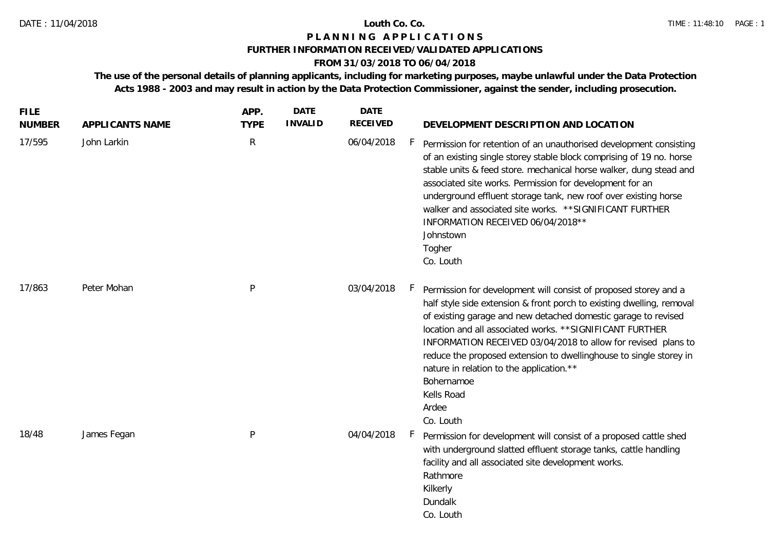# **P L A N N I N G A P P L I C A T I O N S**

## **FURTHER INFORMATION RECEIVED/VALIDATED APPLICATIONS**

# **FROM 31/03/2018 TO 06/04/2018**

**The use of the personal details of planning applicants, including for marketing purposes, maybe unlawful under the Data Protection Acts 1988 - 2003 and may result in action by the Data Protection Commissioner, against the sender, including prosecution.**

| <b>FILE</b><br><b>NUMBER</b> | APPLICANTS NAME | APP.<br><b>TYPE</b> | <b>DATE</b><br><b>INVALID</b> | <b>DATE</b><br><b>RECEIVED</b> | DEVELOPMENT DESCRIPTION AND LOCATION                                                                                                                                                                                                                                                                                                                                                                                                                                                                          |
|------------------------------|-----------------|---------------------|-------------------------------|--------------------------------|---------------------------------------------------------------------------------------------------------------------------------------------------------------------------------------------------------------------------------------------------------------------------------------------------------------------------------------------------------------------------------------------------------------------------------------------------------------------------------------------------------------|
| 17/595                       | John Larkin     | $\mathsf{R}$        |                               | 06/04/2018                     | $\vdash$<br>Permission for retention of an unauthorised development consisting<br>of an existing single storey stable block comprising of 19 no. horse<br>stable units & feed store. mechanical horse walker, dung stead and<br>associated site works. Permission for development for an<br>underground effluent storage tank, new roof over existing horse<br>walker and associated site works. ** SIGNIFICANT FURTHER<br>INFORMATION RECEIVED 06/04/2018 **<br>Johnstown<br>Togher<br>Co. Louth             |
| 17/863                       | Peter Mohan     | P                   |                               | 03/04/2018                     | Permission for development will consist of proposed storey and a<br>half style side extension & front porch to existing dwelling, removal<br>of existing garage and new detached domestic garage to revised<br>location and all associated works. ** SIGNIFICANT FURTHER<br>INFORMATION RECEIVED 03/04/2018 to allow for revised plans to<br>reduce the proposed extension to dwellinghouse to single storey in<br>nature in relation to the application.**<br>Bohernamoe<br>Kells Road<br>Ardee<br>Co. Louth |
| 18/48                        | James Fegan     | P                   |                               | 04/04/2018                     | Permission for development will consist of a proposed cattle shed<br>with underground slatted effluent storage tanks, cattle handling<br>facility and all associated site development works.<br>Rathmore<br>Kilkerly<br>Dundalk<br>Co. Louth                                                                                                                                                                                                                                                                  |